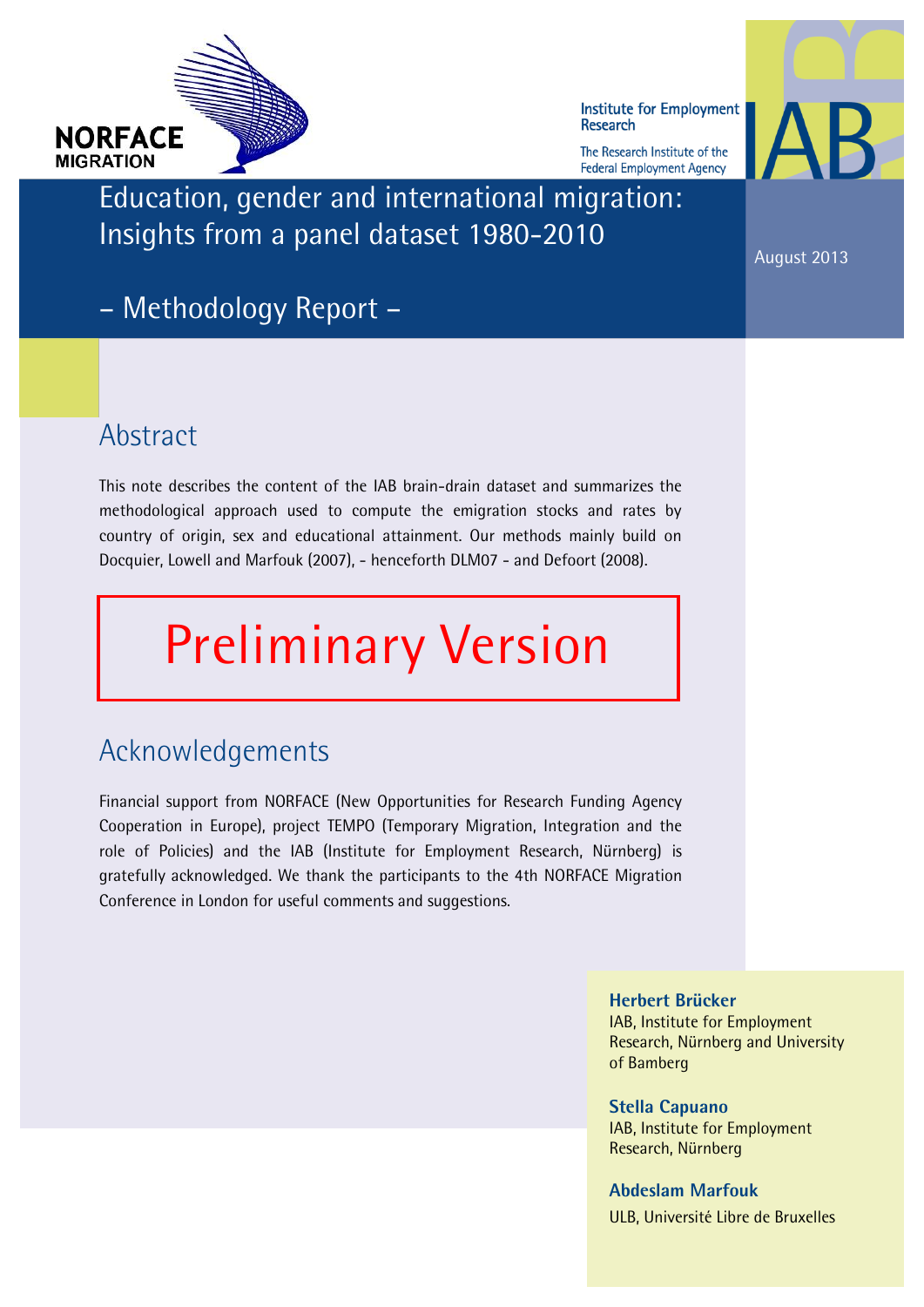

Institute for Employment **Research** 

The Research Institute of the **Federal Employment Agency** 



Education, gender and international migration: Insights from a panel dataset 1980-2010

August 2013

– Methodology Report –

#### Abstract

This note describes the content of the IAB brain-drain dataset and summarizes the methodological approach used to compute the emigration stocks and rates by country of origin, sex and educational attainment. Our methods mainly build on Docquier, Lowell and Marfouk (2007), - henceforth DLM07 - and Defoort (2008).

# Preliminary Version

## Acknowledgements

Financial support from NORFACE (New Opportunities for Research Funding Agency Cooperation in Europe), project TEMPO (Temporary Migration, Integration and the role of Policies) and the IAB (Institute for Employment Research, Nürnberg) is gratefully acknowledged. We thank the participants to the 4th NORFACE Migration Conference in London for useful comments and suggestions.

> Herbert Brücker IAB, Institute for Employment Research, Nürnberg and University of Bamberg

Stella Capuano IAB, Institute for Employment Research, Nürnberg

Abdeslam Marfouk ULB, Université Libre de Bruxelles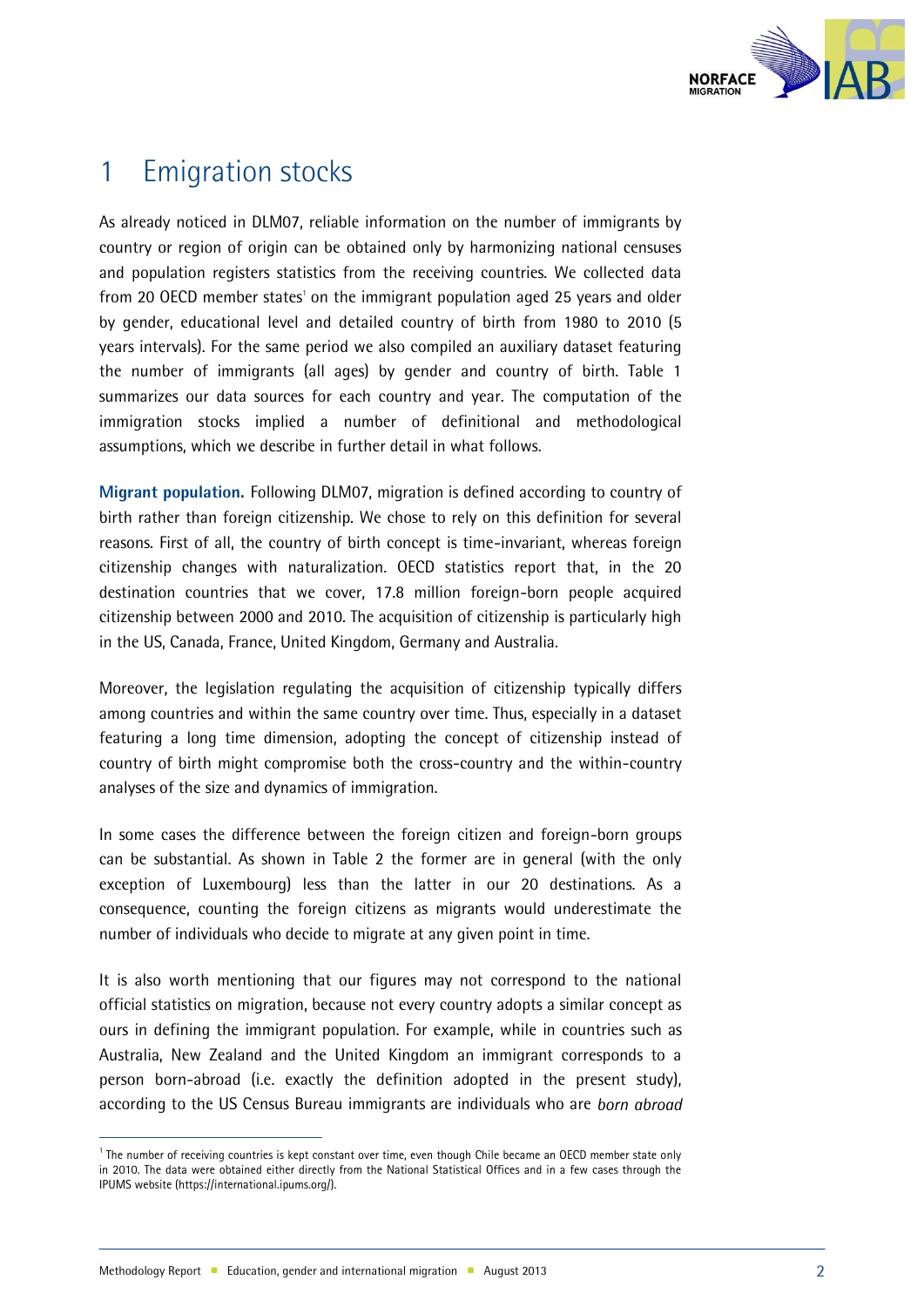

## 1 Emigration stocks

As already noticed in DLM07, reliable information on the number of immigrants by country or region of origin can be obtained only by harmonizing national censuses and population registers statistics from the receiving countries. We collected data from 20 OECD member states' on the immigrant population aged 25 years and older by gender, educational level and detailed country of birth from 1980 to 2010 (5 years intervals). For the same period we also compiled an auxiliary dataset featuring the number of immigrants (all ages) by gender and country of birth. Table 1 summarizes our data sources for each country and year. The computation of the immigration stocks implied a number of definitional and methodological assumptions, which we describe in further detail in what follows.

Migrant population. Following DLM07, migration is defined according to country of birth rather than foreign citizenship. We chose to rely on this definition for several reasons. First of all, the country of birth concept is time-invariant, whereas foreign citizenship changes with naturalization. OECD statistics report that, in the 20 destination countries that we cover, 17.8 million foreign-born people acquired citizenship between 2000 and 2010. The acquisition of citizenship is particularly high in the US, Canada, France, United Kingdom, Germany and Australia.

Moreover, the legislation regulating the acquisition of citizenship typically differs among countries and within the same country over time. Thus, especially in a dataset featuring a long time dimension, adopting the concept of citizenship instead of country of birth might compromise both the cross-country and the within-country analyses of the size and dynamics of immigration.

In some cases the difference between the foreign citizen and foreign-born groups can be substantial. As shown in Table 2 the former are in general (with the only exception of Luxembourg) less than the latter in our 20 destinations. As a consequence, counting the foreign citizens as migrants would underestimate the number of individuals who decide to migrate at any given point in time.

It is also worth mentioning that our figures may not correspond to the national official statistics on migration, because not every country adopts a similar concept as ours in defining the immigrant population. For example, while in countries such as Australia, New Zealand and the United Kingdom an immigrant corresponds to a person born-abroad (i.e. exactly the definition adopted in the present study), according to the US Census Bureau immigrants are individuals who are *born abroad* 

j

<sup>&</sup>lt;sup>1</sup> The number of receiving countries is kept constant over time, even though Chile became an OECD member state only in 2010. The data were obtained either directly from the National Statistical Offices and in a few cases through the IPUMS website (https://international.ipums.org/).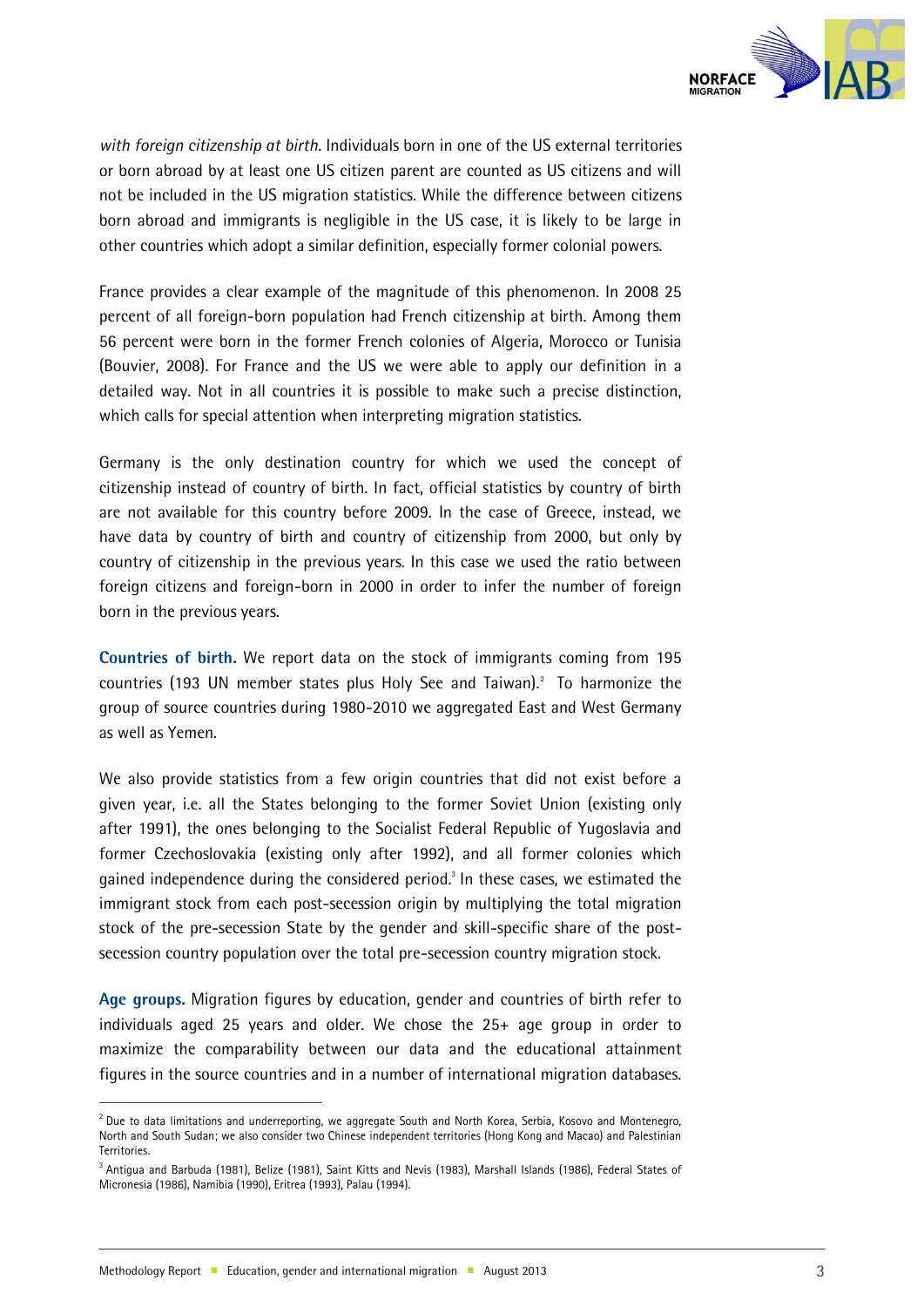

*with foreign citizenship at birth*. Individuals born in one of the US external territories or born abroad by at least one US citizen parent are counted as US citizens and will not be included in the US migration statistics. While the difference between citizens born abroad and immigrants is negligible in the US case, it is likely to be large in other countries which adopt a similar definition, especially former colonial powers.

France provides a clear example of the magnitude of this phenomenon. In 2008 25 percent of all foreign-born population had French citizenship at birth. Among them 56 percent were born in the former French colonies of Algeria, Morocco or Tunisia (Bouvier, 2008). For France and the US we were able to apply our definition in a detailed way. Not in all countries it is possible to make such a precise distinction, which calls for special attention when interpreting migration statistics.

Germany is the only destination country for which we used the concept of citizenship instead of country of birth. In fact, official statistics by country of birth are not available for this country before 2009. In the case of Greece, instead, we have data by country of birth and country of citizenship from 2000, but only by country of citizenship in the previous years. In this case we used the ratio between foreign citizens and foreign-born in 2000 in order to infer the number of foreign born in the previous years.

Countries of birth. We report data on the stock of immigrants coming from 195 countries (193 UN member states plus Holy See and Taiwan).<sup>2</sup> To harmonize the group of source countries during 1980-2010 we aggregated East and West Germany as well as Yemen.

We also provide statistics from a few origin countries that did not exist before a given year, i.e. all the States belonging to the former Soviet Union (existing only after 1991), the ones belonging to the Socialist Federal Republic of Yugoslavia and former Czechoslovakia (existing only after 1992), and all former colonies which gained independence during the considered period.<sup>3</sup> In these cases, we estimated the immigrant stock from each post-secession origin by multiplying the total migration stock of the pre-secession State by the gender and skill-specific share of the postsecession country population over the total pre-secession country migration stock.

Age groups. Migration figures by education, gender and countries of birth refer to individuals aged 25 years and older. We chose the 25+ age group in order to maximize the comparability between our data and the educational attainment figures in the source countries and in a number of international migration databases.

j

 $^2$  Due to data limitations and underreporting, we aggregate South and North Korea, Serbia, Kosovo and Montenegro, North and South Sudan; we also consider two Chinese independent territories (Hong Kong and Macao) and Palestinian **Territories** 

<sup>3</sup> Antigua and Barbuda (1981), Belize (1981), Saint Kitts and Nevis (1983), Marshall Islands (1986), Federal States of Micronesia (1986), Namibia (1990), Eritrea (1993), Palau (1994).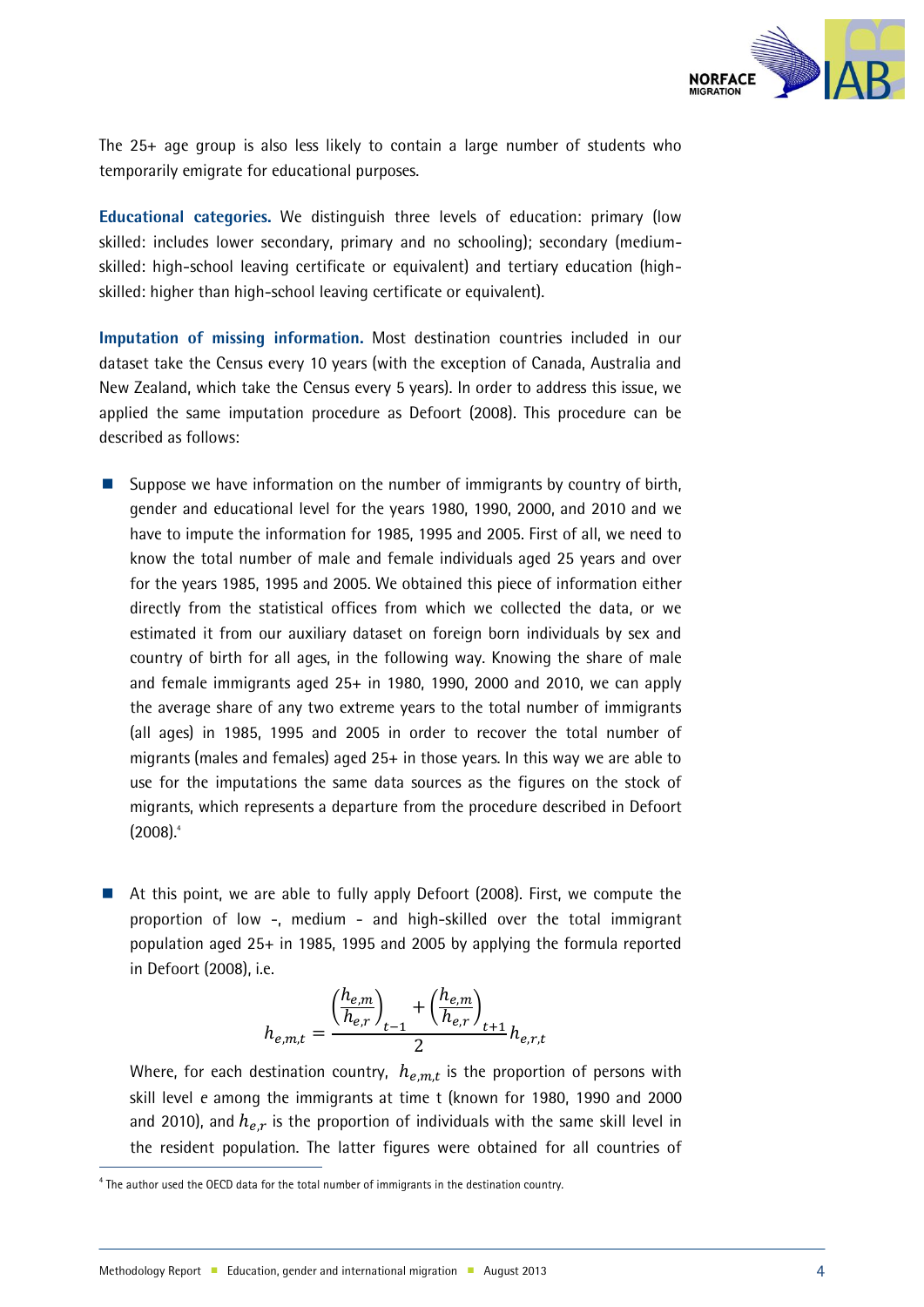

The 25+ age group is also less likely to contain a large number of students who temporarily emigrate for educational purposes.

Educational categories. We distinguish three levels of education: primary (low skilled: includes lower secondary, primary and no schooling); secondary (mediumskilled: high-school leaving certificate or equivalent) and tertiary education (highskilled: higher than high-school leaving certificate or equivalent).

Imputation of missing information. Most destination countries included in our dataset take the Census every 10 years (with the exception of Canada, Australia and New Zealand, which take the Census every 5 years). In order to address this issue, we applied the same imputation procedure as Defoort (2008). This procedure can be described as follows:

- Suppose we have information on the number of immigrants by country of birth, gender and educational level for the years 1980, 1990, 2000, and 2010 and we have to impute the information for 1985, 1995 and 2005. First of all, we need to know the total number of male and female individuals aged 25 years and over for the years 1985, 1995 and 2005. We obtained this piece of information either directly from the statistical offices from which we collected the data, or we estimated it from our auxiliary dataset on foreign born individuals by sex and country of birth for all ages, in the following way. Knowing the share of male and female immigrants aged  $25+$  in 1980, 1990, 2000 and 2010, we can apply the average share of any two extreme years to the total number of immigrants (all ages) in 1985, 1995 and 2005 in order to recover the total number of migrants (males and females) aged 25+ in those years. In this way we are able to use for the imputations the same data sources as the figures on the stock of migrants, which represents a departure from the procedure described in Defoort (2008). 4
- At this point, we are able to fully apply Defoort (2008). First, we compute the proportion of low -, medium - and high-skilled over the total immigrant population aged 25+ in 1985, 1995 and 2005 by applying the formula reported in Defoort (2008), i.e.

$$
h_{e,m,t} = \frac{\left(\frac{h_{e,m}}{h_{e,r}}\right)_{t-1} + \left(\frac{h_{e,m}}{h_{e,r}}\right)_{t+1}}{2}h_{e,r,t}
$$

Where, for each destination country,  $h_{e.m.t}$  is the proportion of persons with skill level *e* among the immigrants at time t (known for 1980, 1990 and 2000 and 2010), and  $h_{e,r}$  is the proportion of individuals with the same skill level in the resident population. The latter figures were obtained for all countries of

j

<sup>&</sup>lt;sup>4</sup> The author used the OECD data for the total number of immigrants in the destination country.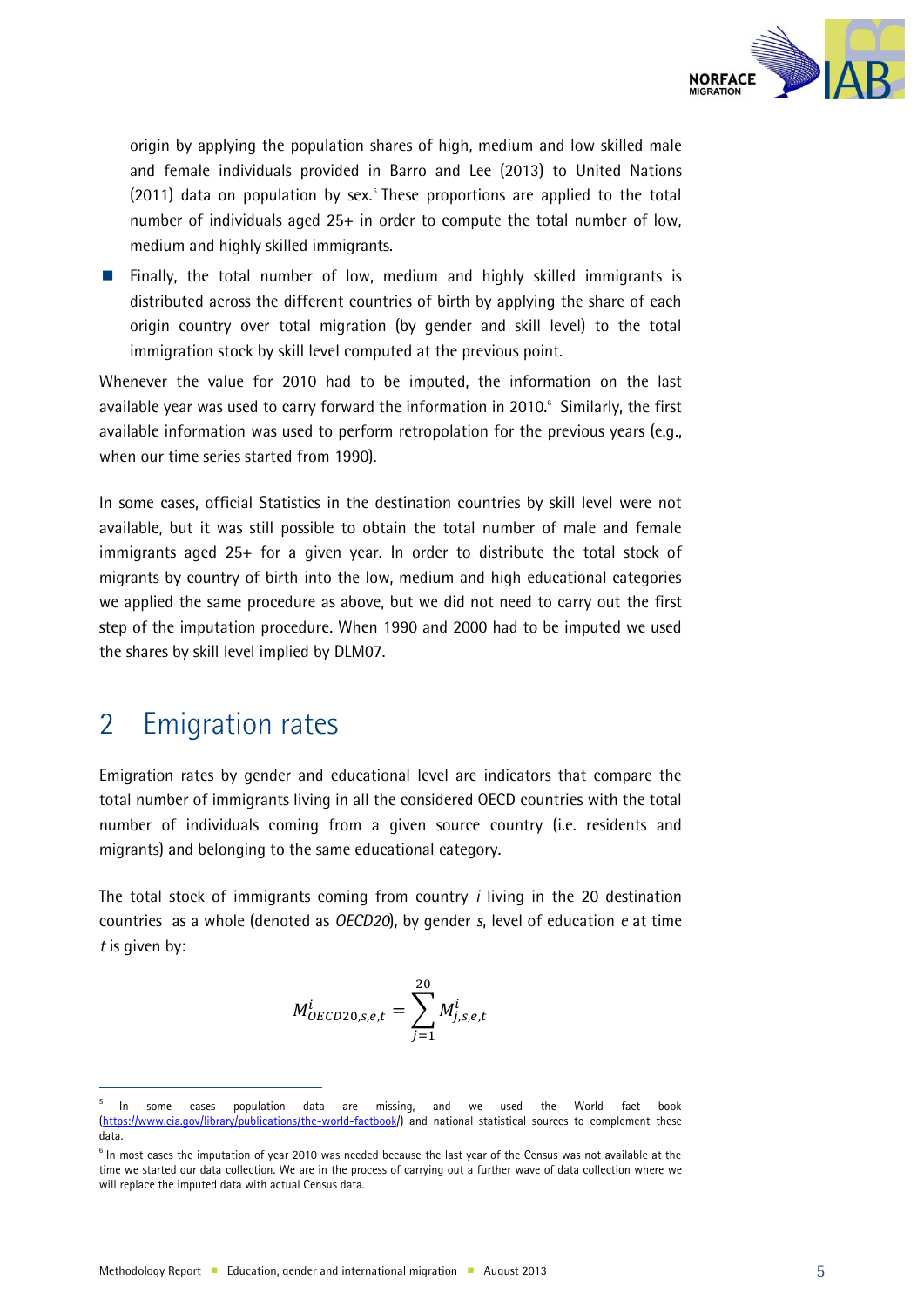

origin by applying the population shares of high, medium and low skilled male and female individuals provided in Barro and Lee (2013) to United Nations (2011) data on population by sex.<sup>5</sup> These proportions are applied to the total number of individuals aged 25+ in order to compute the total number of low, medium and highly skilled immigrants.

**Finally, the total number of low, medium and highly skilled immigrants is** distributed across the different countries of birth by applying the share of each origin country over total migration (by gender and skill level) to the total immigration stock by skill level computed at the previous point.

Whenever the value for 2010 had to be imputed, the information on the last available year was used to carry forward the information in 2010.<sup>6</sup> Similarly, the first available information was used to perform retropolation for the previous years (e.g., when our time series started from 1990).

In some cases, official Statistics in the destination countries by skill level were not available, but it was still possible to obtain the total number of male and female immigrants aged 25+ for a given year. In order to distribute the total stock of migrants by country of birth into the low, medium and high educational categories we applied the same procedure as above, but we did not need to carry out the first step of the imputation procedure. When 1990 and 2000 had to be imputed we used the shares by skill level implied by DLM07.

#### 2 Emigration rates

j

Emigration rates by gender and educational level are indicators that compare the total number of immigrants living in all the considered OECD countries with the total number of individuals coming from a given source country (i.e. residents and migrants) and belonging to the same educational category.

The total stock of immigrants coming from country *i* living in the 20 destination countries as a whole (denoted as *OECD20*), by gender *s*, level of education *e* at time *t* is given by:

$$
M_{OECD20,s,e,t}^{i} = \sum_{j=1}^{20} M_{j,s,e,t}^{i}
$$

<sup>5</sup> <sup>5</sup> In some cases population data are missing, and we used the World fact book<br>(https://www.cia.gov/library/publications/the-world-factbook/) and national statistical sources to-complement these .aov/library/publications/the-world-factbook/) and national statistical sources to complement these data.

<sup>&</sup>lt;sup>6</sup> In most cases the imputation of year 2010 was needed because the last year of the Census was not available at the time we started our data collection. We are in the process of carrying out a further wave of data collection where we will replace the imputed data with actual Census data.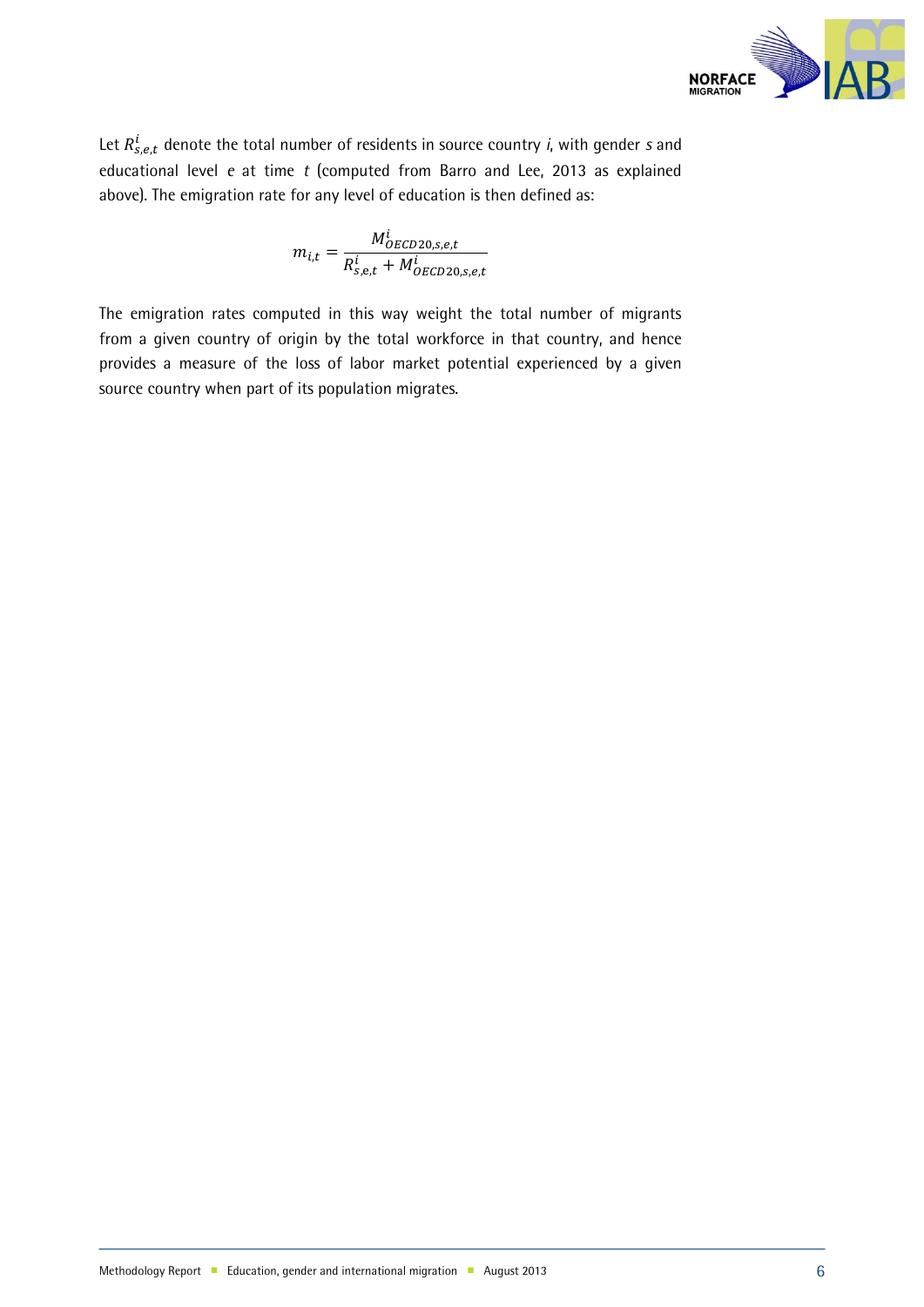

Let  $R_{s, e, t}^{i}$  denote the total number of residents in source country *i*, with gender *s* and educational level *e* at time *t* (computed from Barro and Lee, 2013 as explained above). The emigration rate for any level of education is then defined as:

$$
m_{i,t} = \frac{M_{OECD20,s,e,t}^{i}}{R_{s,e,t}^{i} + M_{OECD20,s,e,t}^{i}}
$$

The emigration rates computed in this way weight the total number of migrants from a given country of origin by the total workforce in that country, and hence provides a measure of the loss of labor market potential experienced by a given source country when part of its population migrates.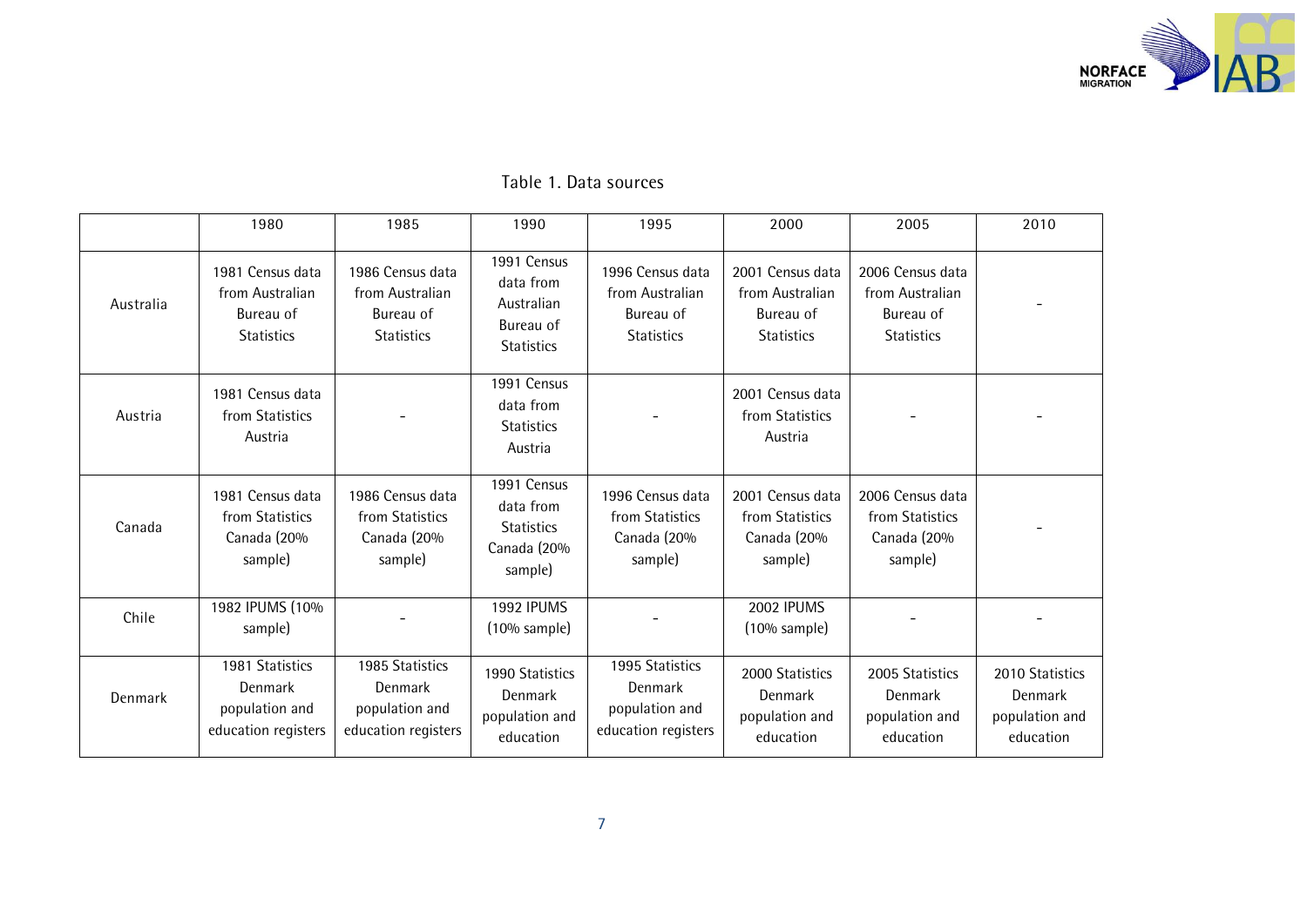

|  |  |  | Table 1. Data sources |
|--|--|--|-----------------------|
|--|--|--|-----------------------|

|           | 1980                                                                  | 1985                                                                  | 1990                                                                     | 1995                                                                  | 2000                                                                  | 2005                                                                  | 2010                                                      |
|-----------|-----------------------------------------------------------------------|-----------------------------------------------------------------------|--------------------------------------------------------------------------|-----------------------------------------------------------------------|-----------------------------------------------------------------------|-----------------------------------------------------------------------|-----------------------------------------------------------|
| Australia | 1981 Census data<br>from Australian<br>Bureau of<br><b>Statistics</b> | 1986 Census data<br>from Australian<br>Bureau of<br><b>Statistics</b> | 1991 Census<br>data from<br>Australian<br>Bureau of<br><b>Statistics</b> | 1996 Census data<br>from Australian<br>Bureau of<br><b>Statistics</b> | 2001 Census data<br>from Australian<br>Bureau of<br><b>Statistics</b> | 2006 Census data<br>from Australian<br>Bureau of<br><b>Statistics</b> |                                                           |
| Austria   | 1981 Census data<br>from Statistics<br>Austria                        |                                                                       | 1991 Census<br>data from<br><b>Statistics</b><br>Austria                 |                                                                       | 2001 Census data<br>from Statistics<br>Austria                        |                                                                       |                                                           |
| Canada    | 1981 Census data<br>from Statistics<br>Canada (20%<br>sample)         | 1986 Census data<br>from Statistics<br>Canada (20%<br>sample)         | 1991 Census<br>data from<br><b>Statistics</b><br>Canada (20%<br>sample)  | 1996 Census data<br>from Statistics<br>Canada (20%<br>sample)         | 2001 Census data<br>from Statistics<br>Canada (20%<br>sample)         | 2006 Census data<br>from Statistics<br>Canada (20%<br>sample)         |                                                           |
| Chile     | 1982 IPUMS (10%<br>sample)                                            |                                                                       | <b>1992 IPUMS</b><br>$(10%$ sample)                                      |                                                                       | <b>2002 IPUMS</b><br>$(10\%$ sample)                                  |                                                                       |                                                           |
| Denmark   | 1981 Statistics<br>Denmark<br>population and<br>education registers   | 1985 Statistics<br>Denmark<br>population and<br>education registers   | 1990 Statistics<br>Denmark<br>population and<br>education                | 1995 Statistics<br>Denmark<br>population and<br>education registers   | 2000 Statistics<br>Denmark<br>population and<br>education             | 2005 Statistics<br>Denmark<br>population and<br>education             | 2010 Statistics<br>Denmark<br>population and<br>education |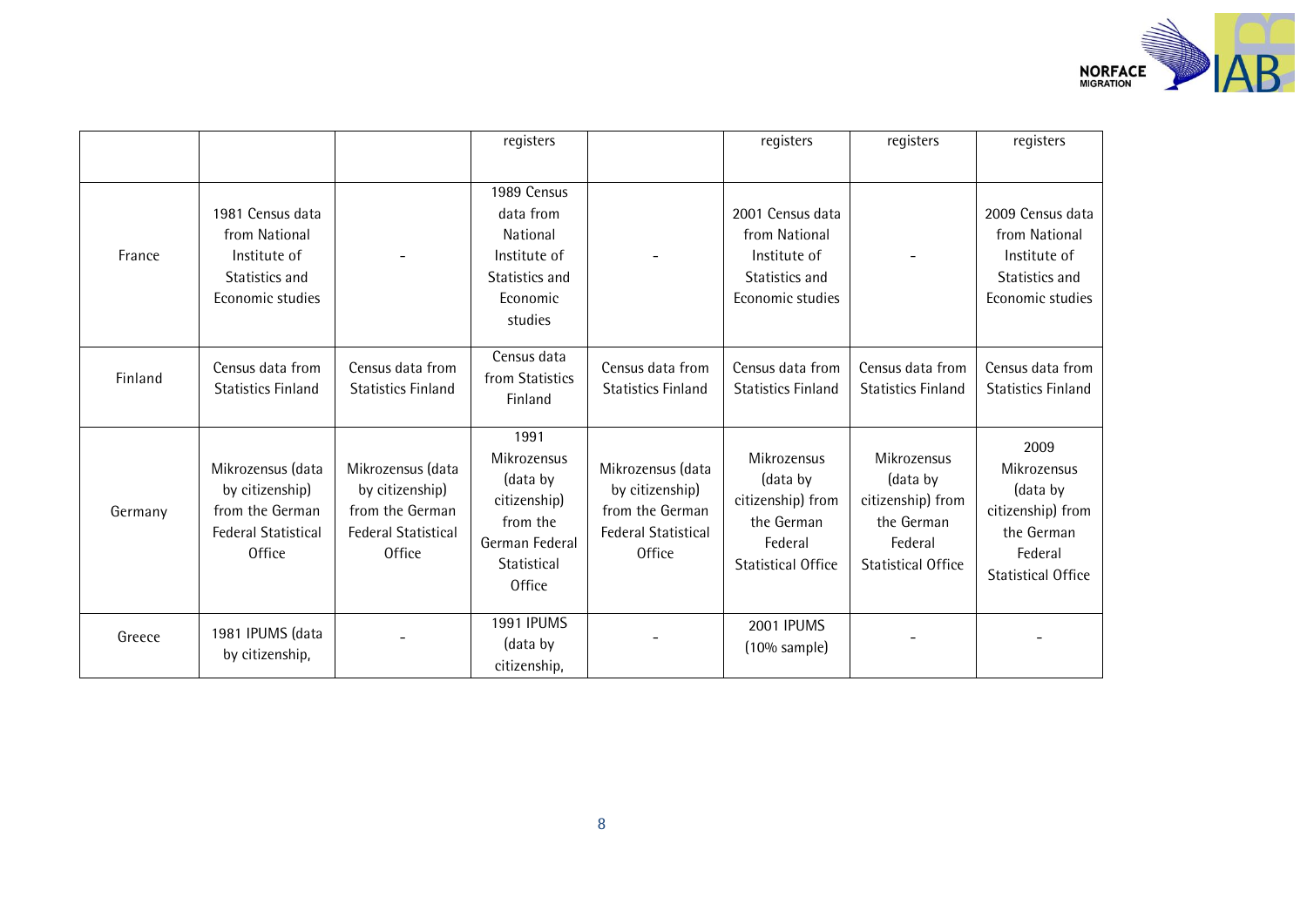

|         |                                                                                                        |                                                                                                        | registers                                                                                              |                                                                                                        | registers                                                                                          | registers                                                                                          | registers                                                                                                  |
|---------|--------------------------------------------------------------------------------------------------------|--------------------------------------------------------------------------------------------------------|--------------------------------------------------------------------------------------------------------|--------------------------------------------------------------------------------------------------------|----------------------------------------------------------------------------------------------------|----------------------------------------------------------------------------------------------------|------------------------------------------------------------------------------------------------------------|
| France  | 1981 Census data<br>from National<br>Institute of<br>Statistics and<br>Economic studies                |                                                                                                        | 1989 Census<br>data from<br>National<br>Institute of<br>Statistics and<br>Economic<br>studies          |                                                                                                        | 2001 Census data<br>from National<br>Institute of<br>Statistics and<br>Economic studies            |                                                                                                    | 2009 Census data<br>from National<br>Institute of<br>Statistics and<br>Economic studies                    |
| Finland | Census data from<br><b>Statistics Finland</b>                                                          | Census data from<br><b>Statistics Finland</b>                                                          | Census data<br>from Statistics<br>Finland                                                              | Census data from<br><b>Statistics Finland</b>                                                          | Census data from<br><b>Statistics Finland</b>                                                      | Census data from<br><b>Statistics Finland</b>                                                      | Census data from<br><b>Statistics Finland</b>                                                              |
| Germany | Mikrozensus (data<br>by citizenship)<br>from the German<br><b>Federal Statistical</b><br><b>Office</b> | Mikrozensus (data<br>by citizenship)<br>from the German<br><b>Federal Statistical</b><br><b>Office</b> | 1991<br>Mikrozensus<br>(data by<br>citizenship)<br>from the<br>German Federal<br>Statistical<br>Office | Mikrozensus (data<br>by citizenship)<br>from the German<br><b>Federal Statistical</b><br><b>Office</b> | Mikrozensus<br>(data by<br>citizenship) from<br>the German<br>Federal<br><b>Statistical Office</b> | Mikrozensus<br>(data by<br>citizenship) from<br>the German<br>Federal<br><b>Statistical Office</b> | 2009<br>Mikrozensus<br>(data by<br>citizenship) from<br>the German<br>Federal<br><b>Statistical Office</b> |
| Greece  | 1981 IPUMS (data<br>by citizenship,                                                                    |                                                                                                        | <b>1991 IPUMS</b><br>(data by<br>citizenship,                                                          |                                                                                                        | 2001 IPUMS<br>$(10\%$ sample)                                                                      |                                                                                                    |                                                                                                            |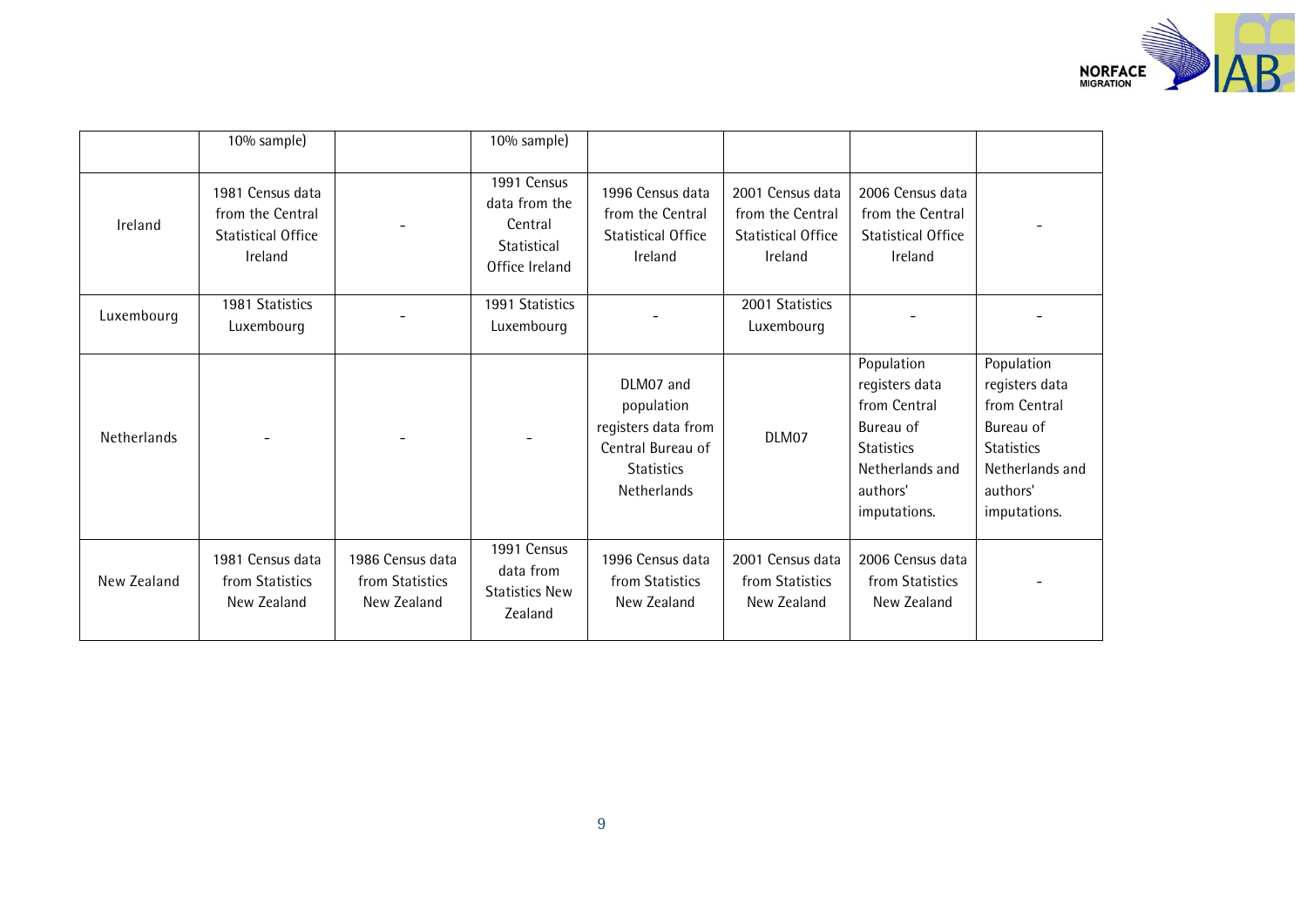

|             | 10% sample)                                                                  |                                                    | 10% sample)                                                              |                                                                                                         |                                                                              |                                                                                                                               |                                                                                                                               |
|-------------|------------------------------------------------------------------------------|----------------------------------------------------|--------------------------------------------------------------------------|---------------------------------------------------------------------------------------------------------|------------------------------------------------------------------------------|-------------------------------------------------------------------------------------------------------------------------------|-------------------------------------------------------------------------------------------------------------------------------|
| Ireland     | 1981 Census data<br>from the Central<br><b>Statistical Office</b><br>Ireland |                                                    | 1991 Census<br>data from the<br>Central<br>Statistical<br>Office Ireland | 1996 Census data<br>from the Central<br><b>Statistical Office</b><br>Ireland                            | 2001 Census data<br>from the Central<br><b>Statistical Office</b><br>Ireland | 2006 Census data<br>from the Central<br><b>Statistical Office</b><br>Ireland                                                  |                                                                                                                               |
| Luxembourg  | 1981 Statistics<br>Luxembourg                                                |                                                    | 1991 Statistics<br>Luxembourg                                            |                                                                                                         | 2001 Statistics<br>Luxembourg                                                |                                                                                                                               |                                                                                                                               |
| Netherlands |                                                                              |                                                    |                                                                          | DLM07 and<br>population<br>registers data from<br>Central Bureau of<br><b>Statistics</b><br>Netherlands | DLM07                                                                        | Population<br>registers data<br>from Central<br>Bureau of<br><b>Statistics</b><br>Netherlands and<br>authors'<br>imputations. | Population<br>registers data<br>from Central<br>Bureau of<br><b>Statistics</b><br>Netherlands and<br>authors'<br>imputations. |
| New Zealand | 1981 Census data<br>from Statistics<br>New Zealand                           | 1986 Census data<br>from Statistics<br>New Zealand | 1991 Census<br>data from<br><b>Statistics New</b><br>Zealand             | 1996 Census data<br>from Statistics<br>New Zealand                                                      | 2001 Census data<br>from Statistics<br>New Zealand                           | 2006 Census data<br>from Statistics<br>New Zealand                                                                            |                                                                                                                               |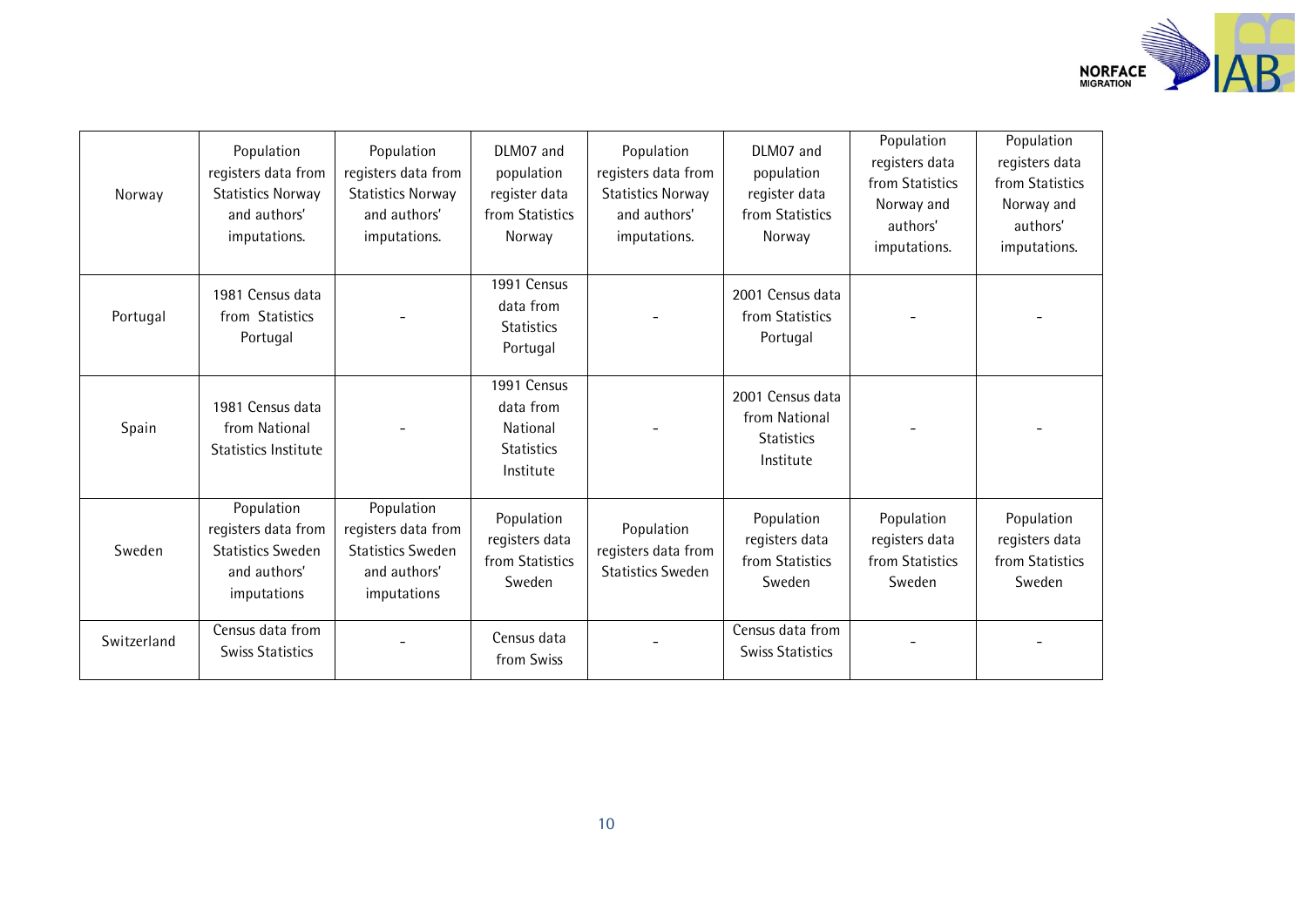

| Norway      | Population<br>registers data from<br><b>Statistics Norway</b><br>and authors'<br>imputations. | Population<br>registers data from<br><b>Statistics Norway</b><br>and authors'<br>imputations. | DLM07 and<br>population<br>register data<br>from Statistics<br>Norway  | Population<br>registers data from<br><b>Statistics Norway</b><br>and authors'<br>imputations. | DLM07 and<br>population<br>register data<br>from Statistics<br>Norway | Population<br>registers data<br>from Statistics<br>Norway and<br>authors'<br>imputations. | Population<br>registers data<br>from Statistics<br>Norway and<br>authors'<br>imputations. |
|-------------|-----------------------------------------------------------------------------------------------|-----------------------------------------------------------------------------------------------|------------------------------------------------------------------------|-----------------------------------------------------------------------------------------------|-----------------------------------------------------------------------|-------------------------------------------------------------------------------------------|-------------------------------------------------------------------------------------------|
| Portugal    | 1981 Census data<br>from Statistics<br>Portugal                                               |                                                                                               | 1991 Census<br>data from<br><b>Statistics</b><br>Portugal              |                                                                                               | 2001 Census data<br>from Statistics<br>Portugal                       |                                                                                           |                                                                                           |
| Spain       | 1981 Census data<br>from National<br>Statistics Institute                                     |                                                                                               | 1991 Census<br>data from<br>National<br><b>Statistics</b><br>Institute |                                                                                               | 2001 Census data<br>from National<br><b>Statistics</b><br>Institute   |                                                                                           |                                                                                           |
| Sweden      | Population<br>registers data from<br><b>Statistics Sweden</b><br>and authors'<br>imputations  | Population<br>registers data from<br><b>Statistics Sweden</b><br>and authors'<br>imputations  | Population<br>registers data<br>from Statistics<br>Sweden              | Population<br>registers data from<br><b>Statistics Sweden</b>                                 | Population<br>registers data<br>from Statistics<br>Sweden             | Population<br>registers data<br>from Statistics<br>Sweden                                 | Population<br>registers data<br>from Statistics<br>Sweden                                 |
| Switzerland | Census data from<br><b>Swiss Statistics</b>                                                   |                                                                                               | Census data<br>from Swiss                                              |                                                                                               | Census data from<br><b>Swiss Statistics</b>                           |                                                                                           |                                                                                           |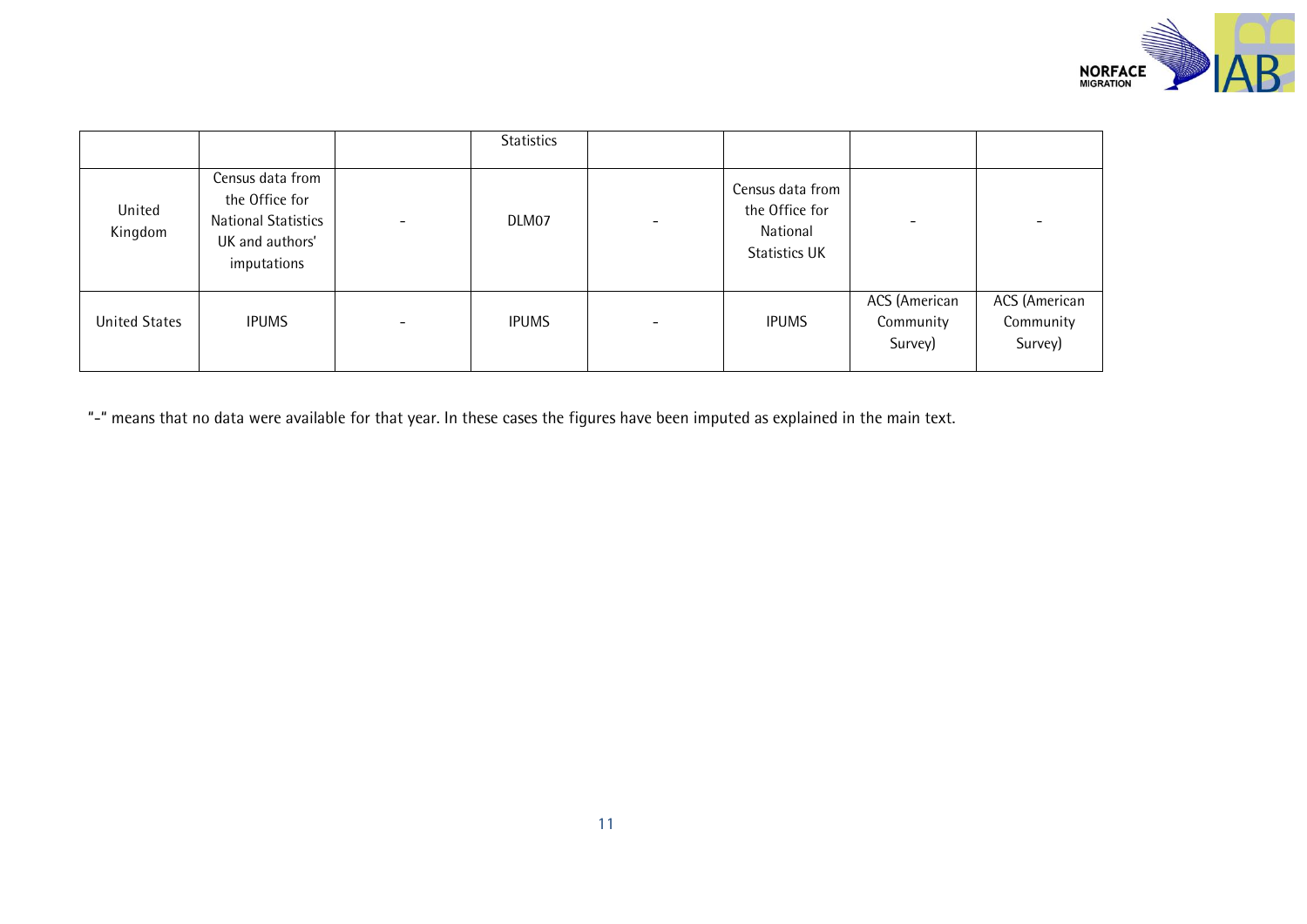

|                      |                                                                                                    |                          | Statistics   |                                                                 |                                       |                                       |
|----------------------|----------------------------------------------------------------------------------------------------|--------------------------|--------------|-----------------------------------------------------------------|---------------------------------------|---------------------------------------|
| United<br>Kingdom    | Census data from<br>the Office for<br><b>National Statistics</b><br>UK and authors'<br>imputations | $\overline{\phantom{0}}$ | DLM07        | Census data from<br>the Office for<br>National<br>Statistics UK | $\overline{\phantom{a}}$              |                                       |
| <b>United States</b> | <b>IPUMS</b>                                                                                       | $\overline{\phantom{a}}$ | <b>IPUMS</b> | <b>IPUMS</b>                                                    | ACS (American<br>Community<br>Survey) | ACS (American<br>Community<br>Survey) |

"-" means that no data were available for that year. In these cases the figures have been imputed as explained in the main text.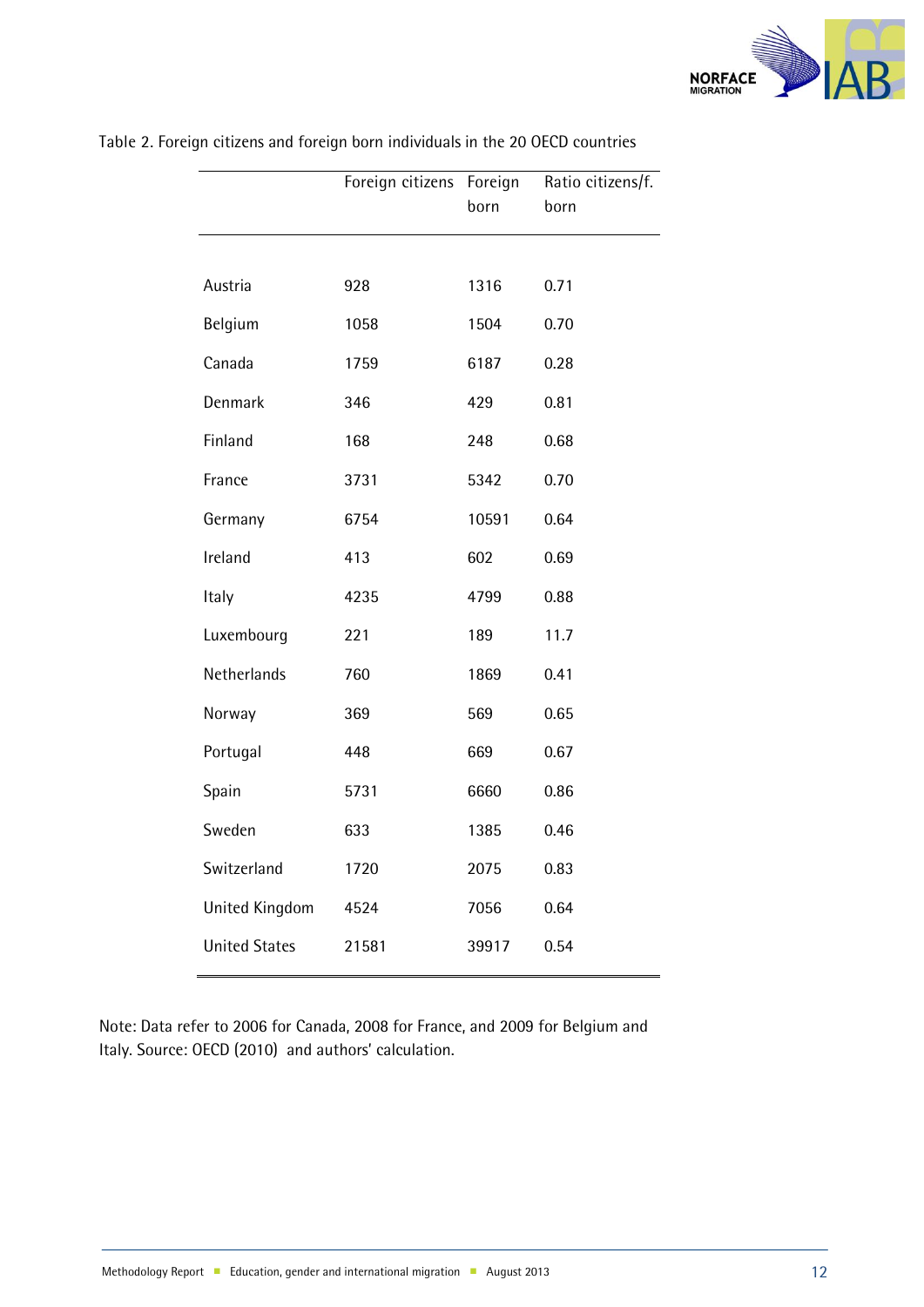

|                      | Foreign citizens Foreign | born  | Ratio citizens/f.<br>born |
|----------------------|--------------------------|-------|---------------------------|
|                      |                          |       |                           |
| Austria              | 928                      | 1316  | 0.71                      |
| Belgium              | 1058                     | 1504  | 0.70                      |
| Canada               | 1759                     | 6187  | 0.28                      |
| Denmark              | 346                      | 429   | 0.81                      |
| Finland              | 168                      | 248   | 0.68                      |
| France               | 3731                     | 5342  | 0.70                      |
| Germany              | 6754                     | 10591 | 0.64                      |
| Ireland              | 413                      | 602   | 0.69                      |
| Italy                | 4235                     | 4799  | 0.88                      |
| Luxembourg           | 221                      | 189   | 11.7                      |
| Netherlands          | 760                      | 1869  | 0.41                      |
| Norway               | 369                      | 569   | 0.65                      |
| Portugal             | 448                      | 669   | 0.67                      |
| Spain                | 5731                     | 6660  | 0.86                      |
| Sweden               | 633                      | 1385  | 0.46                      |
| Switzerland          | 1720                     | 2075  | 0.83                      |
| United Kingdom       | 4524                     | 7056  | 0.64                      |
| <b>United States</b> | 21581                    | 39917 | 0.54                      |

Table 2. Foreign citizens and foreign born individuals in the 20 OECD countries

Note: Data refer to 2006 for Canada, 2008 for France, and 2009 for Belgium and Italy. Source: OECD (2010) and authors' calculation.